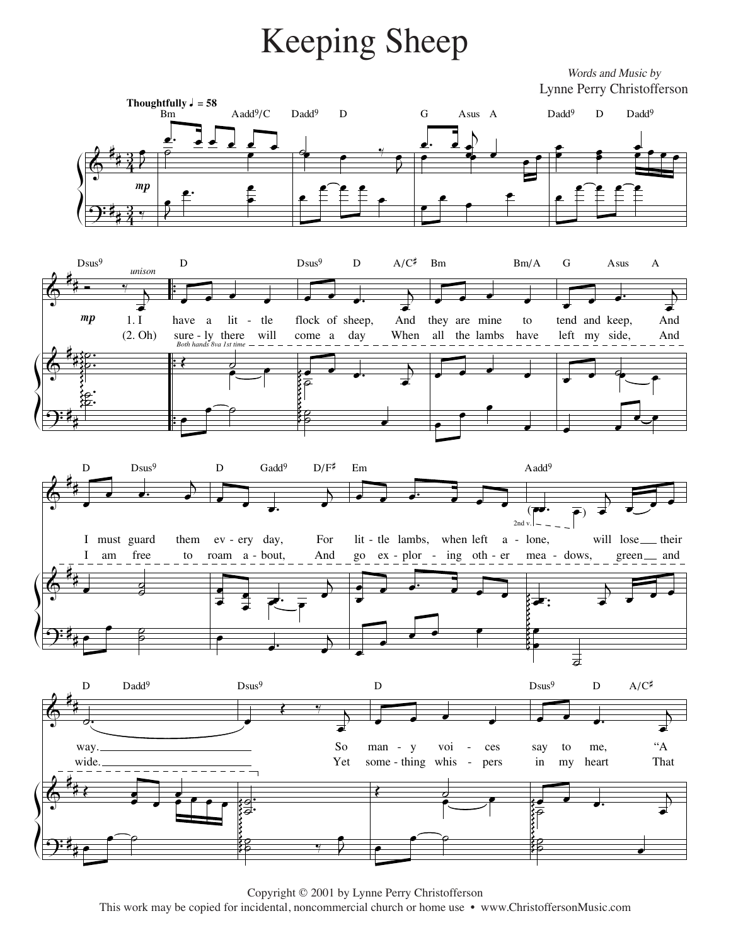## Keeping Sheep Keeping Sheep

*Words and Music by* Words and Music by



Copyright 2001 by Lynne Perry Christofferson Copyright © 2001 by Lynne Perry Christofferson Copyright © 2001 by Lynne Perry Christofferson opied for incidental, noncommercial church or home use • www.Christopied This work may be copied for incidental, noncommercial church or home use • www.ChristoffersonMusic.com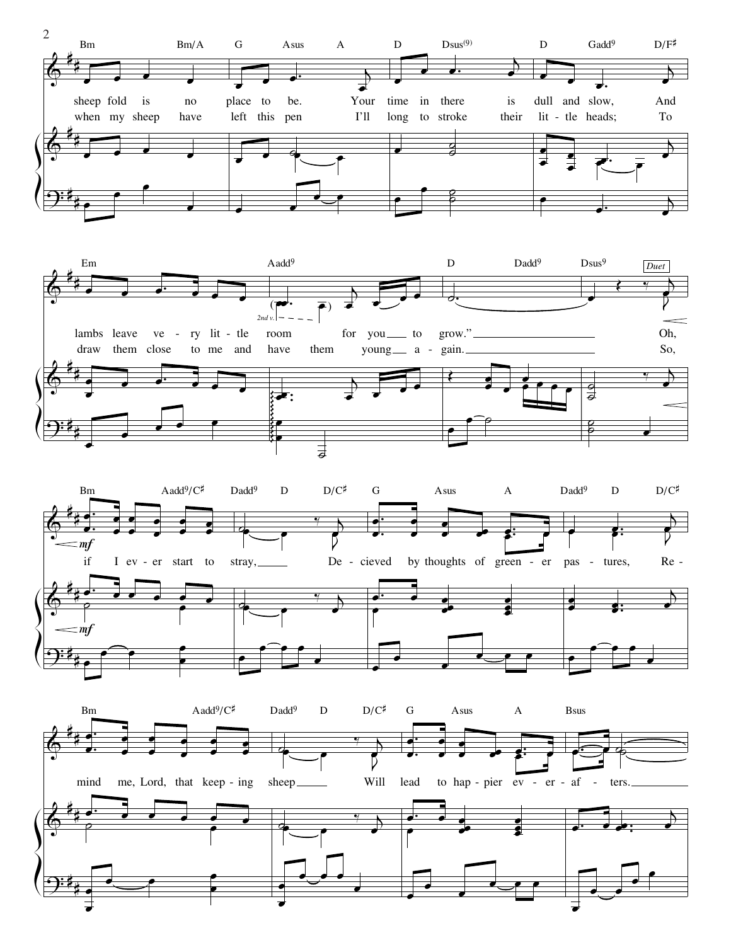